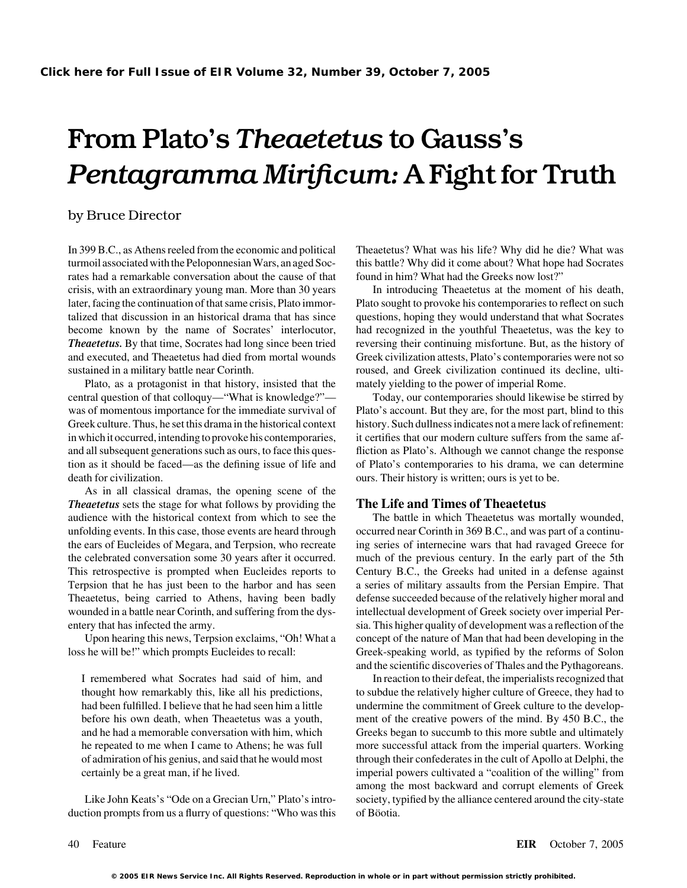# From Plato's *Theaetetus* to Gauss's *Pentagramma Mirificum:* A Fight for Truth

### by Bruce Director

In 399 B.C., as Athens reeled from the economic and political Theaetetus? What was his life? Why did he die? What was turmoil associated with the Peloponnesian Wars, an aged Soc- this battle? Why did it come about? What hope had Socrates rates had a remarkable conversation about the cause of that found in him? What had the Greeks now lost?" crisis, with an extraordinary young man. More than 30 years In introducing Theaetetus at the moment of his death, later, facing the continuation of that same crisis, Plato immor-<br>
Plato sought to provoke his contemporaries to reflect on such talized that discussion in an historical drama that has since questions, hoping they would understand that what Socrates become known by the name of Socrates' interlocutor, had recognized in the youthful Theaetetus, was the key to *Theaetetus.* By that time, Socrates had long since been tried reversing their continuing misfortune. But, as the history of and executed, and Theaetetus had died from mortal wounds Greek civilization attests, Plato's contemporaries were not so sustained in a military battle near Corinth. The roused, and Greek civilization continued its decline, ulti-

Plato, as a protagonist in that history, insisted that the mately yielding to the power of imperial Rome. central question of that colloquy—"What is knowledge?"— Today, our contemporaries should likewise be stirred by was of momentous importance for the immediate survival of Plato's account. But they are, for the most part, blind to this Greek culture. Thus, he set this drama in the historical context history. Such dullness indicates not a mere lack of refinement: in which it occurred, intending to provoke his contemporaries, it certifies that our modern culture suffers from the same afand all subsequent generations such as ours, to face this ques- fliction as Plato's. Although we cannot change the response tion as it should be faced—as the defining issue of life and of Plato's contemporaries to his drama, we can determine death for civilization.  $\alpha$  ours. Their history is written; ours is yet to be.

As in all classical dramas, the opening scene of the *Theaetetus* sets the stage for what follows by providing the **The Life and Times of Theaetetus** audience with the historical context from which to see the The battle in which Theaetetus was mortally wounded, unfolding events. In this case, those events are heard through occurred near Corinth in 369 B.C., and was part of a continuthe ears of Eucleides of Megara, and Terpsion, who recreate ing series of internecine wars that had ravaged Greece for the celebrated conversation some 30 years after it occurred. much of the previous century. In the early part of the 5th This retrospective is prompted when Eucleides reports to Century B.C., the Greeks had united in a defense against Terpsion that he has just been to the harbor and has seen a series of military assaults from the Persian Empire. That Theaetetus, being carried to Athens, having been badly defense succeeded because of the relatively higher moral and wounded in a battle near Corinth, and suffering from the dys- intellectual development of Greek society over imperial Perentery that has infected the army. sia. This higher quality of development was a reflection of the

loss he will be!" which prompts Eucleides to recall: Greek-speaking world, as typified by the reforms of Solon

duction prompts from us a flurry of questions: "Who was this of Böotia.

Upon hearing this news, Terpsion exclaims, "Oh! What a concept of the nature of Man that had been developing in the and the scientific discoveries of Thales and the Pythagoreans.

I remembered what Socrates had said of him, and In reaction to their defeat, the imperialists recognized that thought how remarkably this, like all his predictions, to subdue the relatively higher culture of Greece, they had to had been fulfilled. I believe that he had seen him a little undermine the commitment of Greek culture to the developbefore his own death, when Theaetetus was a youth, ment of the creative powers of the mind. By 450 B.C., the and he had a memorable conversation with him, which Greeks began to succumb to this more subtle and ultimately he repeated to me when I came to Athens; he was full more successful attack from the imperial quarters. Working of admiration of his genius, and said that he would most through their confederates in the cult of Apollo at Delphi, the certainly be a great man, if he lived. imperial powers cultivated a "coalition of the willing" from among the most backward and corrupt elements of Greek Like John Keats's "Ode on a Grecian Urn," Plato's intro- society, typified by the alliance centered around the city-state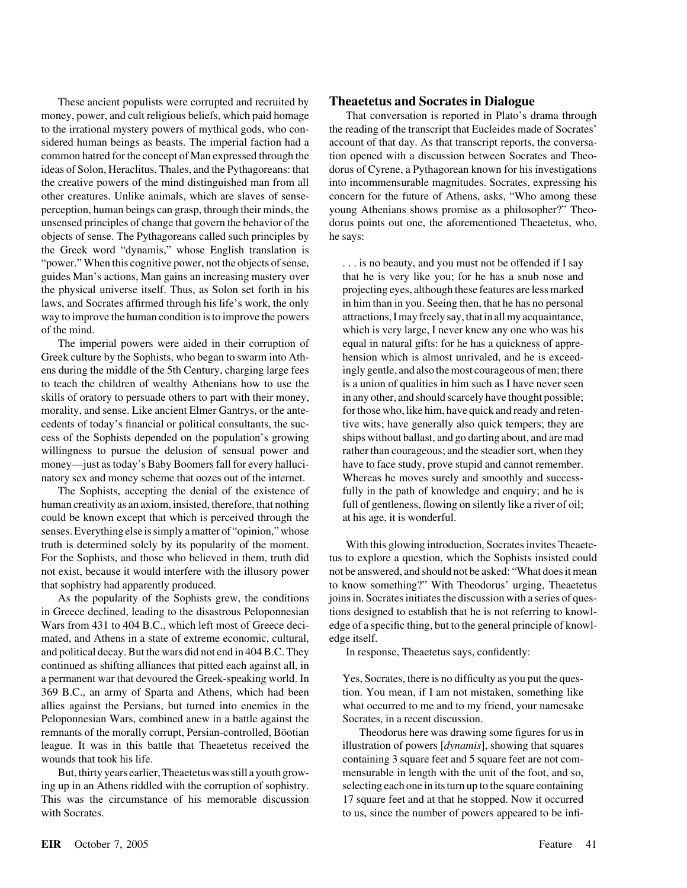These ancient populists were corrupted and recruited by **Theaetetus and Socrates in Dialogue** money, power, and cult religious beliefs, which paid homage That conversation is reported in Plato's drama through to the irrational mystery powers of mythical gods, who con- the reading of the transcript that Eucleides made of Socrates' sidered human beings as beasts. The imperial faction had a account of that day. As that transcript reports, the conversacommon hatred for the concept of Man expressed through the tion opened with a discussion between Socrates and Theoideas of Solon, Heraclitus, Thales, and the Pythagoreans: that dorus of Cyrene, a Pythagorean known for his investigations the creative powers of the mind distinguished man from all into incommensurable magnitudes. Socrates, expressing his other creatures. Unlike animals, which are slaves of sense- concern for the future of Athens, asks, "Who among these perception, human beings can grasp, through their minds, the young Athenians shows promise as a philosopher?" Theounsensed principles of change that govern the behavior of the dorus points out one, the aforementioned Theaetetus, who, objects of sense. The Pythagoreans called such principles by he says: the Greek word "dynamis," whose English translation is "power." When this cognitive power, not the objects of sense, ... is no beauty, and you must not be offended if I say guides Man's actions, Man gains an increasing mastery over that he is very like you; for he has a snub nose and the physical universe itself. Thus, as Solon set forth in his projecting eyes, although these features are less marked laws, and Socrates affirmed through his life's work, the only in him than in you. Seeing then, that he has no personal way to improve the human condition is to improve the powers attractions, I may freely say, that in all my acquaintance, of the mind. which is very large, I never knew any one who was his

The imperial powers were aided in their corruption of equal in natural gifts: for he has a quickness of appre-Greek culture by the Sophists, who began to swarm into Ath- hension which is almost unrivaled, and he is exceedens during the middle of the 5th Century, charging large fees ingly gentle, and also the most courageous of men; there to teach the children of wealthy Athenians how to use the is a union of qualities in him such as I have never seen skills of oratory to persuade others to part with their money, in any other, and should scarcely have thought possible; morality, and sense. Like ancient Elmer Gantrys, or the ante- for those who, like him, have quick and ready and retencedents of today's financial or political consultants, the suc- tive wits; have generally also quick tempers; they are cess of the Sophists depended on the population's growing ships without ballast, and go darting about, and are mad willingness to pursue the delusion of sensual power and rather than courageous; and the steadier sort, when they money—just as today's Baby Boomers fall for every halluci- have to face study, prove stupid and cannot remember. natory sex and money scheme that oozes out of the internet. Whereas he moves surely and smoothly and success-

The Sophists, accepting the denial of the existence of fully in the path of knowledge and enquiry; and he is human creativity as an axiom, insisted, therefore, that nothing full of gentleness, flowing on silently like a river of oil; could be known except that which is perceived through the at his age, it is wonderful. senses. Everything else is simply a matter of "opinion,"whose truth is determined solely by its popularity of the moment. With this glowing introduction, Socrates invites Theaete-For the Sophists, and those who believed in them, truth did tus to explore a question, which the Sophists insisted could not exist, because it would interfere with the illusory power not be answered, and should not be asked: "What does it mean that sophistry had apparently produced. to know something?" With Theodorus' urging, Theaetetus

in Greece declined, leading to the disastrous Peloponnesian tions designed to establish that he is not referring to knowl-Wars from 431 to 404 B.C., which left most of Greece deci-edge of a specific thing, but to the general principle of knowlmated, and Athens in a state of extreme economic, cultural, edge itself. and political decay. But the wars did not end in 404 B.C. They In response, Theaetetus says, confidently: continued as shifting alliances that pitted each against all, in a permanent war that devoured the Greek-speaking world. In Yes, Socrates, there is no difficulty as you put the ques-369 B.C., an army of Sparta and Athens, which had been tion. You mean, if I am not mistaken, something like allies against the Persians, but turned into enemies in the what occurred to me and to my friend, your namesake Peloponnesian Wars, combined anew in a battle against the Socrates, in a recent discussion. remnants of the morally corrupt, Persian-controlled, Böotian Theodorus here was drawing some figures for us in league. It was in this battle that Theaetetus received the illustration of powers [*dynamis*], showing that squares wounds that took his life. containing 3 square feet and 5 square feet are not com-

But, thirty years earlier, Theaetetus was still a youth grow- mensurable in length with the unit of the foot, and so, ing up in an Athens riddled with the corruption of sophistry. Selecting each one in its turn up to the square containing This was the circumstance of his memorable discussion 17 square feet and at that he stopped. Now it occurred with Socrates. to us, since the number of powers appeared to be infi-

As the popularity of the Sophists grew, the conditions joins in. Socrates initiates the discussion with a series of ques-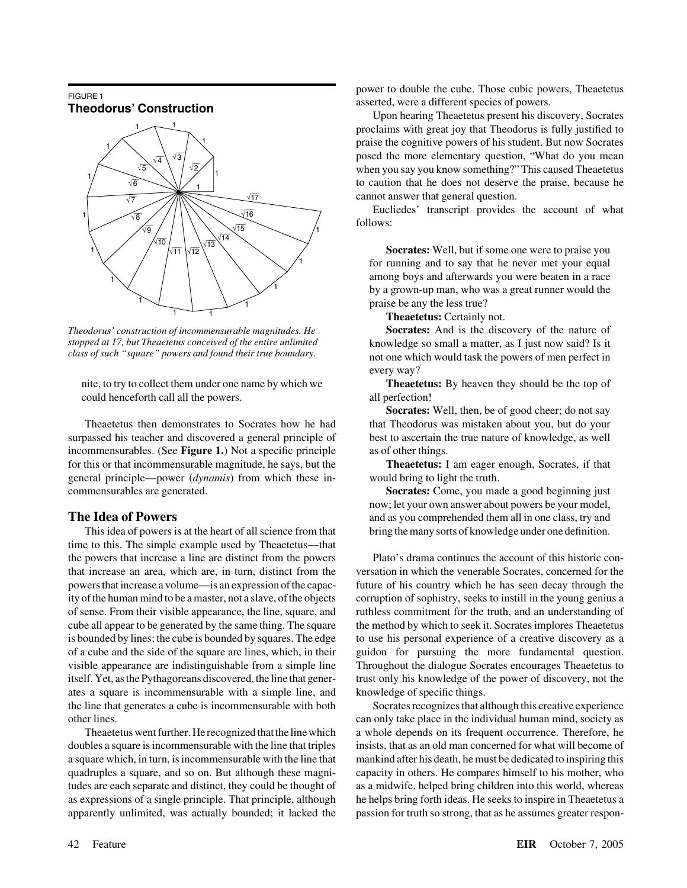

*stopped at 17, but Theaetetus conceived of the entire unlimited class of such "square" powers and found their true boundary.*

nite, to try to collect them under one name by which we **Theaetetus:** By heaven they should be the top of could henceforth call all the powers. all perfection!

Theaetetus then demonstrates to Socrates how he had that Theodorus was mistaken about you, but do your surpassed his teacher and discovered a general principle of best to ascertain the true nature of knowledge, as well incommensurables. (See **Figure 1.**) Not a specific principle as of other things. for this or that incommensurable magnitude, he says, but the **Theaetetus:** I am eager enough, Socrates, if that general principle—power (*dynamis*) from which these in- would bring to light the truth. commensurables are generated. **Socrates:** Come, you made a good beginning just

This idea of powers is at the heart of all science from that bring the many sorts of knowledge under one definition. time to this. The simple example used by Theaetetus—that the powers that increase a line are distinct from the powers Plato's drama continues the account of this historic conthat increase an area, which are, in turn, distinct from the versation in which the venerable Socrates, concerned for the powers that increase a volume—is an expression of the capac- future of his country which he has seen decay through the ity of the human mind to be a master, not a slave, of the objects corruption of sophistry, seeks to instill in the young genius a of sense. From their visible appearance, the line, square, and ruthless commitment for the truth, and an understanding of cube all appear to be generated by the same thing. The square the method by which to seek it. Socrates implores Theaetetus is bounded by lines; the cube is bounded by squares. The edge to use his personal experience of a creative discovery as a of a cube and the side of the square are lines, which, in their guidon for pursuing the more fundamental question. visible appearance are indistinguishable from a simple line Throughout the dialogue Socrates encourages Theaetetus to itself. Yet, as the Pythagoreans discovered, the line that gener- trust only his knowledge of the power of discovery, not the ates a square is incommensurable with a simple line, and knowledge of specific things. the line that generates a cube is incommensurable with both Socrates recognizes that although this creative experience other lines. can only take place in the individual human mind, society as

doubles a square is incommensurable with the line that triples insists, that as an old man concerned for what will become of a square which, in turn, is incommensurable with the line that mankind after his death, he must be dedicated to inspiring this quadruples a square, and so on. But although these magni- capacity in others. He compares himself to his mother, who tudes are each separate and distinct, they could be thought of as a midwife, helped bring children into this world, whereas as expressions of a single principle. That principle, although he helps bring forth ideas. He seeks to inspire in Theaetetus a apparently unlimited, was actually bounded; it lacked the passion for truth so strong, that as he assumes greater respon-

PIGURE 1<br>
FIGURE 1<br> **Theodorus' Construction**<br> **Theodorus' Construction**<br>
Upon hearing Theaetetus present his discovery, Socrates

proclaims with great joy that Theodorus is fully justified to praise the cognitive powers of his student. But now Socrates posed the more elementary question, "What do you mean when you say you know something?" This caused Theaetetus to caution that he does not deserve the praise, because he cannot answer that general question.

Eucliedes' transcript provides the account of what follows:

**Socrates:** Well, but if some one were to praise you for running and to say that he never met your equal among boys and afterwards you were beaten in a race by a grown-up man, who was a great runner would the praise be any the less true?

**Theaetetus:** Certainly not.

*Theodorus' construction of incommensurable magnitudes. He* **Socrates:** And is the discovery of the nature of knowledge so small a matter, as I just now said? Is it not one which would task the powers of men perfect in every way?

**Socrates:** Well, then, be of good cheer; do not say

now; let your own answer about powers be your model, **The Idea of Powers** and as you comprehended them all in one class, try and **as** you comprehended them all in one class, try and

Theaetetus went further. He recognized that the line which a whole depends on its frequent occurrence. Therefore, he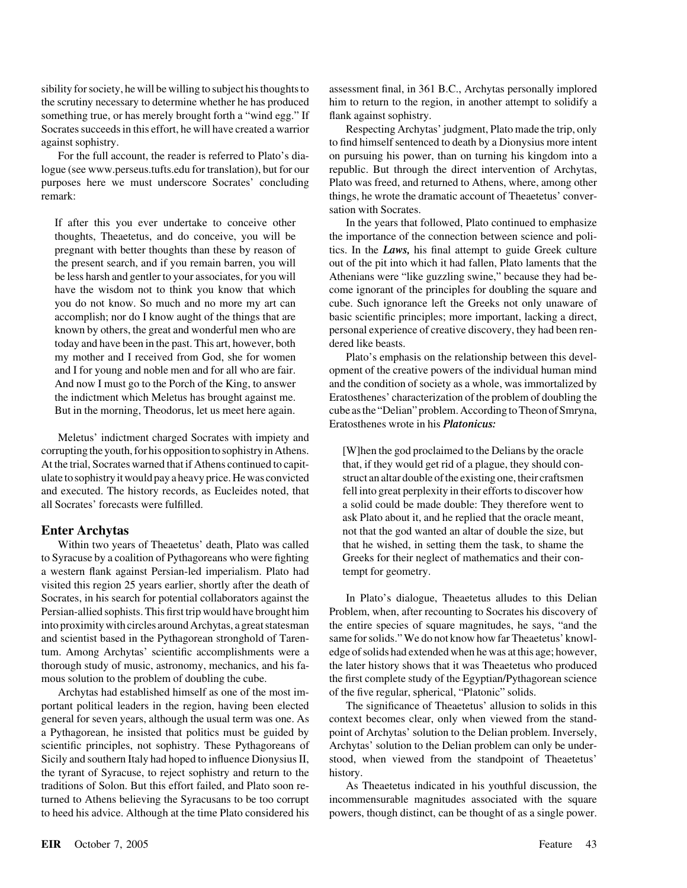sibility for society, he will be willing to subject his thoughts to assessment final, in 361 B.C., Archytas personally implored the scrutiny necessary to determine whether he has produced him to return to the region, in another attempt to solidify a something true, or has merely brought forth a "wind egg." If flank against sophistry. Socrates succeeds in this effort, he will have created a warrior Respecting Archytas' judgment, Plato made the trip, only against sophistry. to find himself sentenced to death by a Dionysius more intent

logue (see www.perseus.tufts.edu for translation), but for our republic. But through the direct intervention of Archytas, purposes here we must underscore Socrates' concluding Plato was freed, and returned to Athens, where, among other remark: things, he wrote the dramatic account of Theaetetus' conver-

today and have been in the past. This art, however, both dered like beasts.

Meletus' indictment charged Socrates with impiety and corrupting the youth, for his opposition to sophistry in Athens. [W]hen the god proclaimed to the Delians by the oracle At the trial, Socrates warned that if Athens continued to capit- that, if they would get rid of a plague, they should conulate to sophistry it would pay a heavy price. He was convicted struct an altar double of the existing one, their craftsmen and executed. The history records, as Eucleides noted, that fell into great perplexity in their efforts to discover how all Socrates' forecasts were fulfilled. <br>a solid could be made double: They therefore went to

Within two years of Theaetetus' death, Plato was called that he wished, in setting them the task, to shame the to Syracuse by a coalition of Pythagoreans who were fighting Greeks for their neglect of mathematics and their cona western flank against Persian-led imperialism. Plato had tempt for geometry. visited this region 25 years earlier, shortly after the death of Socrates, in his search for potential collaborators against the In Plato's dialogue, Theaetetus alludes to this Delian Persian-allied sophists. This first trip would have brought him Problem, when, after recounting to Socrates his discovery of into proximity with circles around Archytas, a great statesman the entire species of square magnitudes, he says, "and the and scientist based in the Pythagorean stronghold of Taren- same for solids."We do not know how far Theaetetus' knowltum. Among Archytas' scientific accomplishments were a edge of solids had extended when he was at this age; however, thorough study of music, astronomy, mechanics, and his fa- the later history shows that it was Theaetetus who produced mous solution to the problem of doubling the cube. the first complete study of the Egyptian/Pythagorean science

Archytas had established himself as one of the most im- of the five regular, spherical, "Platonic" solids. portant political leaders in the region, having been elected The significance of Theaetetus' allusion to solids in this general for seven years, although the usual term was one. As context becomes clear, only when viewed from the standa Pythagorean, he insisted that politics must be guided by point of Archytas' solution to the Delian problem. Inversely, scientific principles, not sophistry. These Pythagoreans of Archytas' solution to the Delian problem can only be under-Sicily and southern Italy had hoped to influence Dionysius II, stood, when viewed from the standpoint of Theaetetus' the tyrant of Syracuse, to reject sophistry and return to the history. traditions of Solon. But this effort failed, and Plato soon re- As Theaetetus indicated in his youthful discussion, the turned to Athens believing the Syracusans to be too corrupt incommensurable magnitudes associated with the square to heed his advice. Although at the time Plato considered his powers, though distinct, can be thought of as a single power.

For the full account, the reader is referred to Plato's dia- on pursuing his power, than on turning his kingdom into a sation with Socrates.

If after this you ever undertake to conceive other In the years that followed, Plato continued to emphasize thoughts, Theaetetus, and do conceive, you will be the importance of the connection between science and polipregnant with better thoughts than these by reason of tics. In the *Laws,* his final attempt to guide Greek culture the present search, and if you remain barren, you will out of the pit into which it had fallen, Plato laments that the be less harsh and gentler to your associates, for you will Athenians were "like guzzling swine," because they had behave the wisdom not to think you know that which come ignorant of the principles for doubling the square and you do not know. So much and no more my art can cube. Such ignorance left the Greeks not only unaware of accomplish; nor do I know aught of the things that are basic scientific principles; more important, lacking a direct, known by others, the great and wonderful men who are personal experience of creative discovery, they had been ren-

my mother and I received from God, she for women Plato's emphasis on the relationship between this develand I for young and noble men and for all who are fair. opment of the creative powers of the individual human mind And now I must go to the Porch of the King, to answer and the condition of society as a whole, was immortalized by the indictment which Meletus has brought against me. Eratosthenes' characterization of the problem of doubling the But in the morning, Theodorus, let us meet here again. cube as the "Delian" problem. According to Theon of Smryna, Eratosthenes wrote in his *Platonicus:*

ask Plato about it, and he replied that the oracle meant, **Enter Archytas** not that the god wanted an altar of double the size, but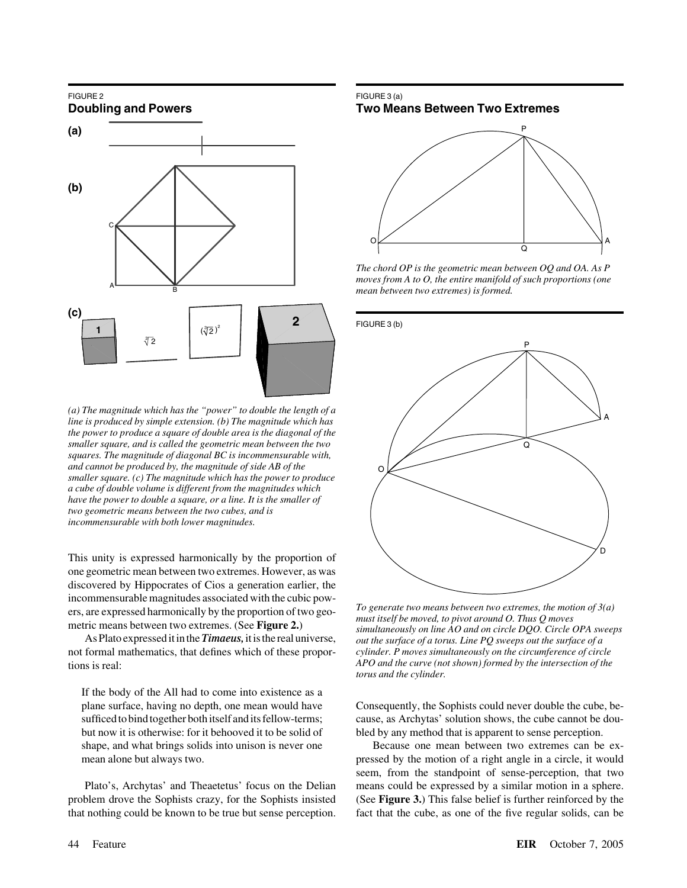## FIGURE 2 FIGURE 3 (a)



*(a) The magnitude which has the "power" to double the length of a line is produced by simple extension. (b) The magnitude which has the power to produce a square of double area is the diagonal of the smaller square, and is called the geometric mean between the two squares. The magnitude of diagonal BC is incommensurable with, and cannot be produced by, the magnitude of side AB of the smaller square. (c) The magnitude which has the power to produce a cube of double volume is different from the magnitudes which have the power to double a square, or a line. It is the smaller of two geometric means between the two cubes, and is incommensurable with both lower magnitudes.*

This unity is expressed harmonically by the proportion of one geometric mean between two extremes. However, as was discovered by Hippocrates of Cios a generation earlier, the

not formal mathematics, that defines which of these propor- *cylinder. P moves simultaneously on the circumference of circle* tions is real:

If the body of the All had to come into existence as a

that nothing could be known to be true but sense perception. fact that the cube, as one of the five regular solids, can be

## **Doubling and Powers Two Means Between Two Extremes**



*The chord OP is the geometric mean between OQ and OA. As P moves from A to O, the entire manifold of such proportions (one mean between two extremes) is formed.*



incommensurable magnitudes associated with the cubic pow-<br>ers, are expressed harmonically by the proportion of two geo-<br>must itself be moved, to pivot around O. Thus Q moves<br>metric means between two extremes. (See **Figure** *APO and the curve (not shown) formed by the intersection of the torus and the cylinder.*

plane surface, having no depth, one mean would have Consequently, the Sophists could never double the cube, besufficed to bind together both itself and its fellow-terms; cause, as Archytas' solution shows, the cube cannot be doubut now it is otherwise: for it behooved it to be solid of bled by any method that is apparent to sense perception.

shape, and what brings solids into unison is never one Because one mean between two extremes can be exmean alone but always two. **pressed by the motion of a right angle in a circle**, it would seem, from the standpoint of sense-perception, that two Plato's, Archytas' and Theaetetus' focus on the Delian means could be expressed by a similar motion in a sphere. problem drove the Sophists crazy, for the Sophists insisted (See **Figure 3.**) This false belief is further reinforced by the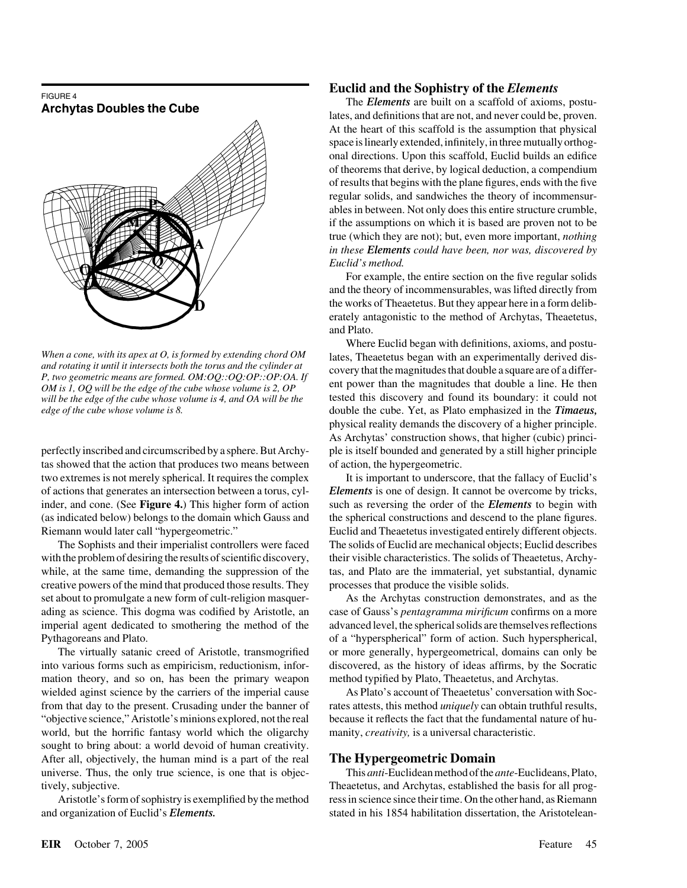

*will be the edge of the cube whose volume is 4, and OA will be the* 

tas showed that the action that produces two means between of action, the hypergeometric. two extremes is not merely spherical. It requires the complex It is important to underscore, that the fallacy of Euclid's Riemann would later call "hypergeometric." Euclid and Theaetetus investigated entirely different objects.

creative powers of the mind that produced those results. They processes that produce the visible solids. set about to promulgate a new form of cult-religion masquer-<br>As the Archytas construction demonstrates, and as the

mation theory, and so on, has been the primary weapon method typified by Plato, Theaetetus, and Archytas. wielded aginst science by the carriers of the imperial cause As Plato's account of Theaetetus' conversation with Soc-"objective science," Aristotle's minions explored, not the real because it reflects the fact that the fundamental nature of huworld, but the horrific fantasy world which the oligarchy manity, *creativity*, is a universal characteristic. sought to bring about: a world devoid of human creativity. After all, objectively, the human mind is a part of the real **The Hypergeometric Domain**

and organization of Euclid's *Elements*. stated in his 1854 habilitation dissertation, the Aristotelean-

### **Euclid and the Sophistry of the** *Elements*

FIGURE 4<br>**Archytas Doubles the Cube** lates, and definitions that are not, and never could be, proven. At the heart of this scaffold is the assumption that physical space is linearly extended, infinitely, in three mutually orthogonal directions. Upon this scaffold, Euclid builds an edifice of theorems that derive, by logical deduction, a compendium of results that begins with the plane figures, ends with the five regular solids, and sandwiches the theory of incommensurables in between. Not only does this entire structure crumble, if the assumptions on which it is based are proven not to be true (which they are not); but, even more important, *nothing in these Elements could have been, nor was, discovered by Euclid's method.*

> For example, the entire section on the five regular solids and the theory of incommensurables, was lifted directly from the works of Theaetetus. But they appear here in a form deliberately antagonistic to the method of Archytas, Theaetetus, and Plato.

Where Euclid began with definitions, axioms, and postu-When a cone, with its apex at O, is formed by extending chord OM<br>and rotating it until it intersects both the torus and the cylinder at<br>P, two geometric means are formed. OM:OQ::OQ:OP::OP:OA. If<br>OM is 1, OQ will be the ed *edge of the cube whose volume is 8.* double the cube. Yet, as Plato emphasized in the *Timaeus,* physical reality demands the discovery of a higher principle. As Archytas' construction shows, that higher (cubic) principerfectly inscribed and circumscribed by a sphere. But Archy- ple is itself bounded and generated by a still higher principle

of actions that generates an intersection between a torus, cyl- *Elements* is one of design. It cannot be overcome by tricks, inder, and cone. (See **Figure 4.**) This higher form of action such as reversing the order of the *Elements* to begin with (as indicated below) belongs to the domain which Gauss and the spherical constructions and descend to the plane figures. The Sophists and their imperialist controllers were faced The solids of Euclid are mechanical objects; Euclid describes with the problem of desiring the results of scientific discovery, their visible characteristics. The solids of Theaetetus, Archywhile, at the same time, demanding the suppression of the tas, and Plato are the immaterial, yet substantial, dynamic

ading as science. This dogma was codified by Aristotle, an case of Gauss's *pentagramma mirificum* confirms on a more imperial agent dedicated to smothering the method of the advanced level, the spherical solids are themselves reflections Pythagoreans and Plato. **of a "hyperspherical" form of action.** Such hyperspherical, The virtually satanic creed of Aristotle, transmogrified or more generally, hypergeometrical, domains can only be into various forms such as empiricism, reductionism, infor- discovered, as the history of ideas affirms, by the Socratic

from that day to the present. Crusading under the banner of rates attests, this method *uniquely* can obtain truthful results,

universe. Thus, the only true science, is one that is objec- This *anti*-Euclidean method of the *ante*-Euclideans, Plato, tively, subjective. Theaetetus, and Archytas, established the basis for all prog-Aristotle's form of sophistry is exemplified by the method ress in science since their time. On the other hand, as Riemann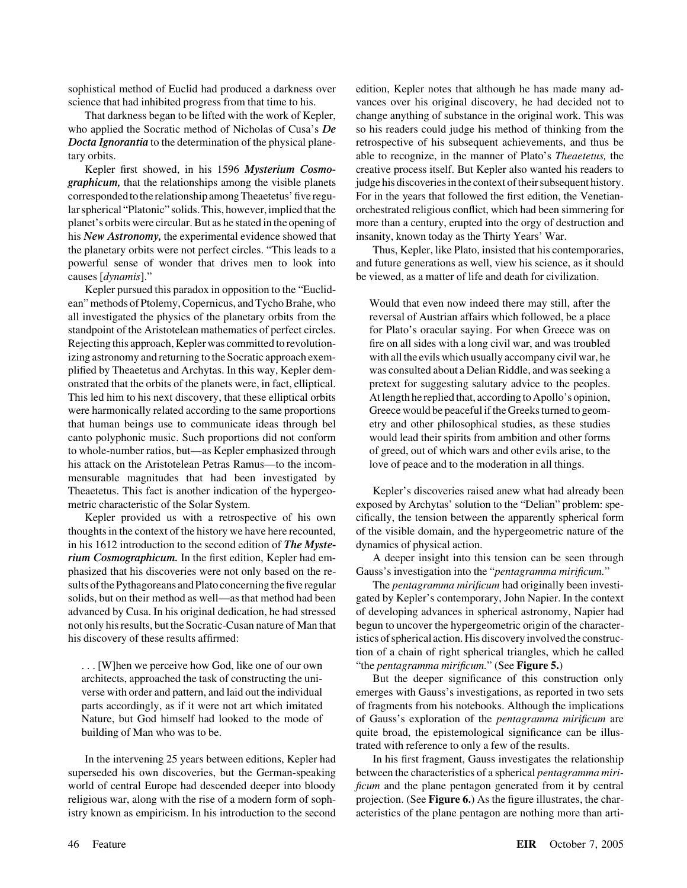who applied the Socratic method of Nicholas of Cusa's *De* so his readers could judge his method of thinking from the *Docta Ignorantia* to the determination of the physical plane- retrospective of his subsequent achievements, and thus be tary orbits. able to recognize, in the manner of Plato's *Theaetetus,* the

*graphicum*, that the relationships among the visible planets judge his discoveries in the context of their subsequent history. corresponded to the relationship among Theaetetus' five regu- For in the years that followed the first edition, the Venetianlar spherical "Platonic" solids. This, however, implied that the orchestrated religious conflict, which had been simmering for planet's orbits were circular. But as he stated in the opening of more than a century, erupted into the orgy of destruction and his *New Astronomy*, the experimental evidence showed that insanity, known today as the Thirty Years' War. the planetary orbits were not perfect circles. "This leads to a Thus, Kepler, like Plato, insisted that his contemporaries, powerful sense of wonder that drives men to look into and future generations as well, view his science, as it should causes [*dynamis*]." be viewed, as a matter of life and death for civilization.

Kepler pursued this paradox in opposition to the "Euclidean" methods of Ptolemy, Copernicus, and Tycho Brahe, who Would that even now indeed there may still, after the all investigated the physics of the planetary orbits from the reversal of Austrian affairs which followed, be a place standpoint of the Aristotelean mathematics of perfect circles. for Plato's oracular saying. For when Greece was on Rejecting this approach, Kepler was committed to revolution- fire on all sides with a long civil war, and was troubled izing astronomy and returning to the Socratic approach exem- with all the evils which usually accompany civil war, he plified by Theaetetus and Archytas. In this way, Kepler dem- was consulted about a Delian Riddle, and was seeking a onstrated that the orbits of the planets were, in fact, elliptical. pretext for suggesting salutary advice to the peoples. This led him to his next discovery, that these elliptical orbits At length he replied that, according to Apollo's opinion, were harmonically related according to the same proportions Greece would be peaceful if the Greeks turned to geomthat human beings use to communicate ideas through bel etry and other philosophical studies, as these studies canto polyphonic music. Such proportions did not conform would lead their spirits from ambition and other forms to whole-number ratios, but—as Kepler emphasized through of greed, out of which wars and other evils arise, to the his attack on the Aristotelean Petras Ramus—to the incom-<br>love of peace and to the moderation in all things. mensurable magnitudes that had been investigated by Theaetetus. This fact is another indication of the hypergeo- Kepler's discoveries raised anew what had already been metric characteristic of the Solar System. exposed by Archytas' solution to the "Delian" problem: spe-

thoughts in the context of the history we have here recounted, of the visible domain, and the hypergeometric nature of the in his 1612 introduction to the second edition of *The Myste-* dynamics of physical action. *rium Cosmographicum*. In the first edition, Kepler had em-<br>A deeper insight into this tension can be seen through phasized that his discoveries were not only based on the re- Gauss's investigation into the "*pentagramma mirificum.*" sults of the Pythagoreans and Plato concerning thefive regular The *pentagramma mirificum* had originally been investisolids, but on their method as well—as that method had been gated by Kepler's contemporary, John Napier. In the context advanced by Cusa. In his original dedication, he had stressed of developing advances in spherical astronomy, Napier had not only his results, but the Socratic-Cusan nature of Man that begun to uncover the hypergeometric origin of the characterhis discovery of these results affirmed: istics of spherical action. His discovery involved the construc-

. . . [W]hen we perceive how God, like one of our own "the *pentagramma mirificum.*" (See **Figure 5.**)

superseded his own discoveries, but the German-speaking between the characteristics of a spherical *pentagramma miri*world of central Europe had descended deeper into bloody *ficum* and the plane pentagon generated from it by central religious war, along with the rise of a modern form of soph- projection. (See **Figure 6.**) As the figure illustrates, the charistry known as empiricism. In his introduction to the second acteristics of the plane pentagon are nothing more than arti-

sophistical method of Euclid had produced a darkness over edition, Kepler notes that although he has made many adscience that had inhibited progress from that time to his. vances over his original discovery, he had decided not to That darkness began to be lifted with the work of Kepler, change anything of substance in the original work. This was Kepler first showed, in his 1596 *Mysterium Cosmo-* creative process itself. But Kepler also wanted his readers to

Kepler provided us with a retrospective of his own cifically, the tension between the apparently spherical form

tion of a chain of right spherical triangles, which he called

architects, approached the task of constructing the uni- But the deeper significance of this construction only verse with order and pattern, and laid out the individual emerges with Gauss's investigations, as reported in two sets parts accordingly, as if it were not art which imitated of fragments from his notebooks. Although the implications Nature, but God himself had looked to the mode of of Gauss's exploration of the *pentagramma mirificum* are building of Man who was to be.  $q$  quite broad, the epistemological significance can be illustrated with reference to only a few of the results.

In the intervening 25 years between editions, Kepler had In his first fragment, Gauss investigates the relationship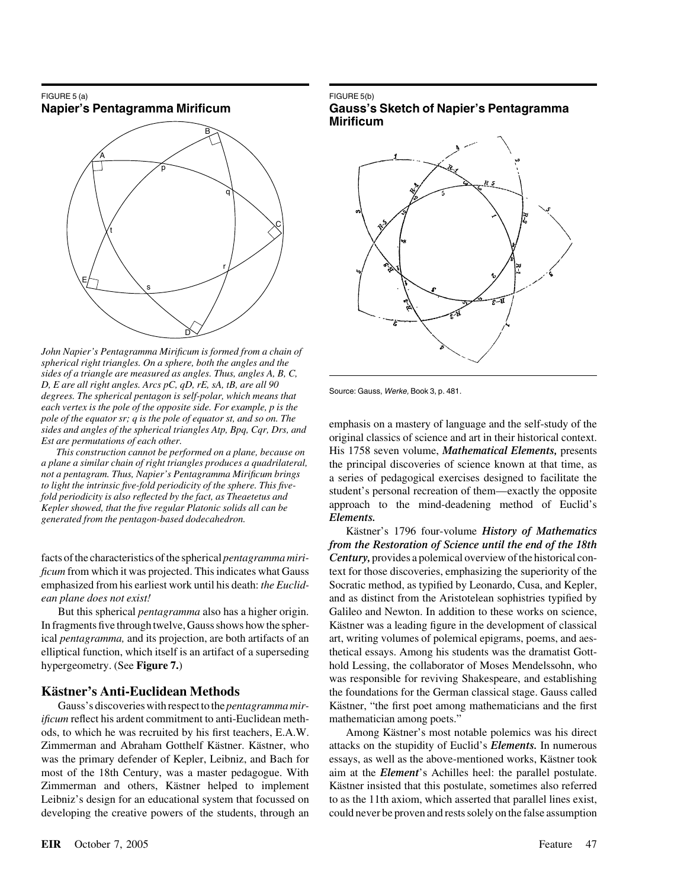## FIGURE 5 (a) FIGURE 5 (b)



*John Napier's Pentagramma Mirificum is formed from a chain of spherical right triangles. On a sphere, both the angles and the sides of a triangle are measured as angles. Thus, angles A, B, C,* Source: Gauss, *Werke,* Book 3, p. 481. *D, E are all right angles. Arcs pC, qD, rE, sA, tB, are all 90 degrees. The spherical pentagon is self-polar, which means that each vertex is the pole of the opposite side. For example, p is the pole of the equator sr; q is the pole of equator st, and so on. The* emphasis on a mastery of language and the self-study of the *sides and angles of the spherical triangles Atp, Bpq, Cqr, Drs, and* 

*This construction cannot be performed on a plane, because on generated from the pentagon-based dodecahedron.* 

*ificum* reflect his ardent commitment to anti-Euclidean meth- mathematician among poets." ods, to which he was recruited by his first teachers, E.A.W. Among Kästner's most notable polemics was his direct Zimmerman and Abraham Gotthelf Kästner. Kästner, who attacks on the stupidity of Euclid's *Elements*. In numerous was the primary defender of Kepler, Leibniz, and Bach for essays, as well as the above-mentioned works, Kästner took most of the 18th Century, was a master pedagogue. With aim at the *Element*'s Achilles heel: the parallel postulate. Zimmerman and others, Kästner helped to implement Kästner insisted that this postulate, sometimes also referred Leibniz's design for an educational system that focussed on to as the 11th axiom, which asserted that parallel lines exist, developing the creative powers of the students, through an could never be proven and rests solely on the false assumption

### **Napier's Pentagramma Mirificum Gauss's Sketch of Napier's Pentagramma Mirificum**



*Est are permutations of each other.* original classics of science and art in their historical context.<br> *Est are permutations of each other.* This construction cannot be performed on a plane. because on His 1758 seven vol *a plane a similar chain of right triangles produces a quadrilateral,* the principal discoveries of science known at that time, as not a pentagram. Thus, Napier's Pentagramma Mirificum brings not a pentagram. Thus, Napier's Pentagramma Mirificum brings<br>to light the intrinsic five-fold periodicity of the sphere. This five-<br>fold periodicity is also reflected by the fact, as Theaetetus and<br>fold periodicity is also *Kepler showed, that the five regular Platonic solids all can be* approach to the mind-deadening method of Euclid's *Repler showed, that the five regular Platonic solids all can be* approach to the mind-deadening method of

Kästner's 1796 four-volume History of Mathematics *from the Restoration of Science until the end of the 18th* facts of the characteristics of the spherical *pentagramma miri- Century,* provides a polemical overview of the historical con*ficum* from which it was projected. This indicates what Gauss text for those discoveries, emphasizing the superiority of the emphasized from his earliest work until his death: *the Euclid-* Socratic method, as typified by Leonardo, Cusa, and Kepler, *ean plane does not exist!* and as distinct from the Aristotelean sophistries typified by But this spherical *pentagramma* also has a higher origin. Galileo and Newton. In addition to these works on science, In fragments five through twelve, Gauss shows how the spher-<br>Kästner was a leading figure in the development of classical ical *pentagramma*, and its projection, are both artifacts of an art, writing volumes of polemical epigrams, poems, and aeselliptical function, which itself is an artifact of a superseding thetical essays. Among his students was the dramatist Gotthypergeometry. (See **Figure 7.**) hold Lessing, the collaborator of Moses Mendelssohn, who was responsible for reviving Shakespeare, and establishing **Kästner's Anti-Euclidean Methods** the foundations for the German classical stage. Gauss called Gauss's discoveries with respect to the *pentagramma mir*-<br>Kästner, "the first poet among mathematicians and the first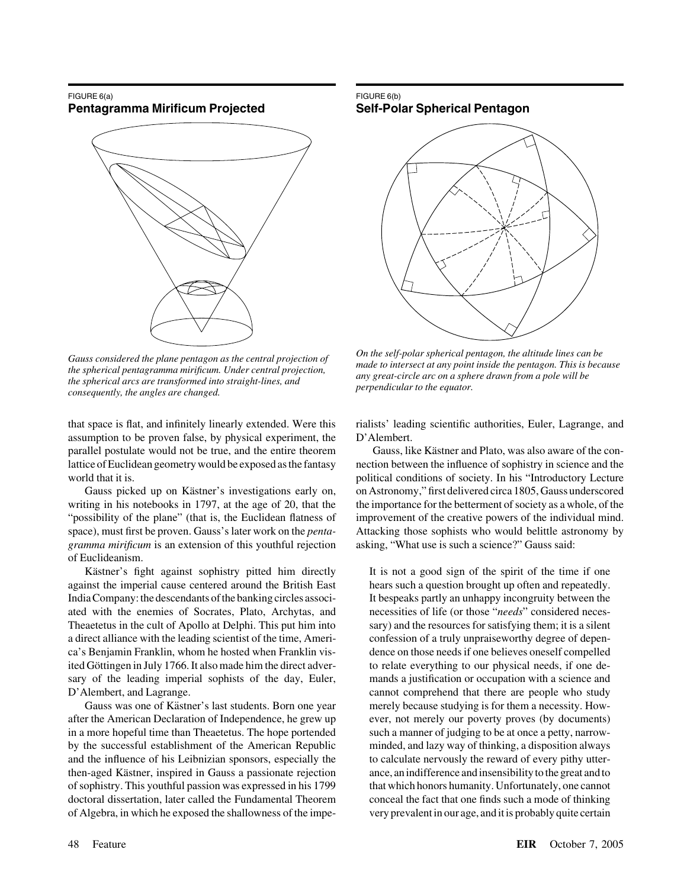### FIGURE 6(a) FIGURE 6(b) **Pentagramma Mirificum Projected Self-Polar Spherical Pentagon**



*perpendicular to the equator. the spherical arcs are transformed into straight-lines, and consequently, the angles are changed.*

that space is flat, and infinitely linearly extended. Were this rialists' leading scientific authorities, Euler, Lagrange, and assumption to be proven false, by physical experiment, the D'Alembert. parallel postulate would not be true, and the entire theorem Gauss, like Kästner and Plato, was also aware of the conlattice of Euclidean geometry would be exposed as the fantasy nection between the influence of sophistry in science and the world that it is. political conditions of society. In his "Introductory Lecture

writing in his notebooks in 1797, at the age of 20, that the the importance for the betterment of society as a whole, of the "possibility of the plane" (that is, the Euclidean flatness of improvement of the creative powers of the individual mind. space), must first be proven. Gauss's later work on the *penta-* Attacking those sophists who would belittle astronomy by *gramma mirificum* is an extension of this youthful rejection asking, "What use is such a science?" Gauss said: of Euclideanism.

Kästner's fight against sophistry pitted him directly It is not a good sign of the spirit of the time if one against the imperial cause centered around the British East hears such a question brought up often and repeatedly. India Company: the descendants of the banking circles associ- It bespeaks partly an unhappy incongruity between the ated with the enemies of Socrates, Plato, Archytas, and necessities of life (or those "*needs*" considered neces-Theaetetus in the cult of Apollo at Delphi. This put him into sary) and the resources for satisfying them; it is a silent a direct alliance with the leading scientist of the time, Ameri- confession of a truly unpraiseworthy degree of depenca's Benjamin Franklin, whom he hosted when Franklin vis- dence on those needs if one believes oneself compelled ited Göttingen in July 1766. It also made him the direct adver- to relate everything to our physical needs, if one desary of the leading imperial sophists of the day, Euler, mands a justification or occupation with a science and D'Alembert, and Lagrange. cannot comprehend that there are people who study

Gauss was one of Kästner's last students. Born one year merely because studying is for them a necessity. Howafter the American Declaration of Independence, he grew up ever, not merely our poverty proves (by documents) in a more hopeful time than Theaetetus. The hope portended such a manner of judging to be at once a petty, narrowby the successful establishment of the American Republic minded, and lazy way of thinking, a disposition always and the influence of his Leibnizian sponsors, especially the to calculate nervously the reward of every pithy utterthen-aged Kästner, inspired in Gauss a passionate rejection ance, an indifference and insensibility to the great and to of sophistry. This youthful passion was expressed in his 1799 that which honors humanity. Unfortunately, one cannot doctoral dissertation, later called the Fundamental Theorem conceal the fact that one finds such a mode of thinking of Algebra, in which he exposed the shallowness of the impe- very prevalent in our age, and it is probably quite certain



Gauss considered the plane pentagon as the central projection of  $\begin{array}{c}$  On the self-polar spherical pentagon, the altitude lines can be  $\end{array}$  made to intersect at any point inside the pentagon. This is because made to

Gauss picked up on Kästner's investigations early on, on Astronomy," first delivered circa 1805, Gauss underscored